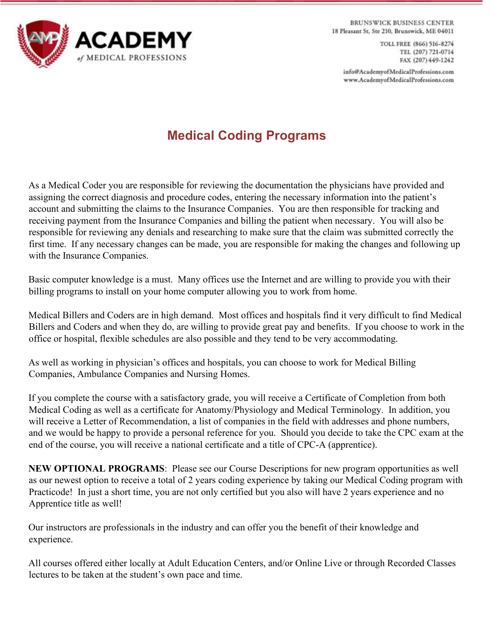

**BRUNSWICK BUSINESS CENTER** 18 Pleasant St, Ste 210, Brunswick, ME 04011

> TOLL FREE (866) 516-8274 TEL (207) 721-0714 FAX (207) 449-1242

info@AcademyofMedicalProfessions.com www.AcademyofMedicalProfessions.com

# **Medical Coding Programs**

As a Medical Coder you are responsible for reviewing the documentation the physicians have provided and assigning the correct diagnosis and procedure codes, entering the necessary information into the patient's account and submitting the claims to the Insurance Companies. You are then responsible for tracking and receiving payment from the Insurance Companies and billing the patient when necessary. You will also be responsible for reviewing any denials and researching to make sure that the claim was submitted correctly the first time. If any necessary changes can be made, you are responsible for making the changes and following up with the Insurance Companies.

Basic computer knowledge is a must. Many offices use the Internet and are willing to provide you with their billing programs to install on your home computer allowing you to work from home.

Medical Billers and Coders are in high demand. Most offices and hospitals find it very difficult to find Medical Billers and Coders and when they do, are willing to provide great pay and benefits. If you choose to work in the office or hospital, flexible schedules are also possible and they tend to be very accommodating.

As well as working in physician's offices and hospitals, you can choose to work for Medical Billing Companies, Ambulance Companies and Nursing Homes.

If you complete the course with a satisfactory grade, you will receive a Certificate of Completion from both Medical Coding as well as a certificate for Anatomy/Physiology and Medical Terminology. In addition, you will receive a Letter of Recommendation, a list of companies in the field with addresses and phone numbers, and we would be happy to provide a personal reference for you. Should you decide to take the CPC exam at the end of the course, you will receive a national certificate and a title of CPC-A (apprentice).

**NEW OPTIONAL PROGRAMS**: Please see our Course Descriptions for new program opportunities as well as our newest option to receive a total of 2 years coding experience by taking our Medical Coding program with Practicode! In just a short time, you are not only certified but you also will have 2 years experience and no Apprentice title as well!

Our instructors are professionals in the industry and can offer you the benefit of their knowledge and experience.

All courses offered either locally at Adult Education Centers, and/or Online Live or through Recorded Classes lectures to be taken at the student's own pace and time.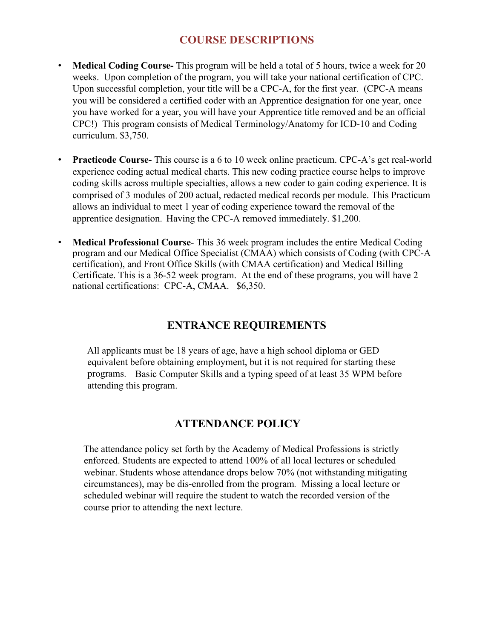## **COURSE DESCRIPTIONS**

- **Medical Coding Course-** This program will be held a total of 5 hours, twice a week for 20 weeks. Upon completion of the program, you will take your national certification of CPC. Upon successful completion, your title will be a CPC-A, for the first year. (CPC-A means you will be considered a certified coder with an Apprentice designation for one year, once you have worked for a year, you will have your Apprentice title removed and be an official CPC!) This program consists of Medical Terminology/Anatomy for ICD-10 and Coding curriculum. \$3,750.
- **Practicode Course-** This course is a 6 to 10 week online practicum. CPC-A's get real-world experience coding actual medical charts. This new coding practice course helps to improve coding skills across multiple specialties, allows a new coder to gain coding experience. It is comprised of 3 modules of 200 actual, redacted medical records per module. This Practicum allows an individual to meet 1 year of coding experience toward the removal of the apprentice designation.Having the CPC-A removed immediately. \$1,200.
- **Medical Professional Course** This 36 week program includes the entire Medical Coding program and our Medical Office Specialist (CMAA) which consists of Coding (with CPC-A certification), and Front Office Skills (with CMAA certification) and Medical Billing Certificate. This is a 36-52 week program. At the end of these programs, you will have 2 national certifications: CPC-A, CMAA. \$6,350.

## **ENTRANCE REQUIREMENTS**

All applicants must be 18 years of age, have a high school diploma or GED equivalent before obtaining employment, but it is not required for starting these programs. Basic Computer Skills and a typing speed of at least 35 WPM before attending this program.

### **ATTENDANCE POLICY**

The attendance policy set forth by the Academy of Medical Professions is strictly enforced. Students are expected to attend 100% of all local lectures or scheduled webinar. Students whose attendance drops below 70% (not withstanding mitigating circumstances), may be dis-enrolled from the program*.* Missing a local lecture or scheduled webinar will require the student to watch the recorded version of the course prior to attending the next lecture.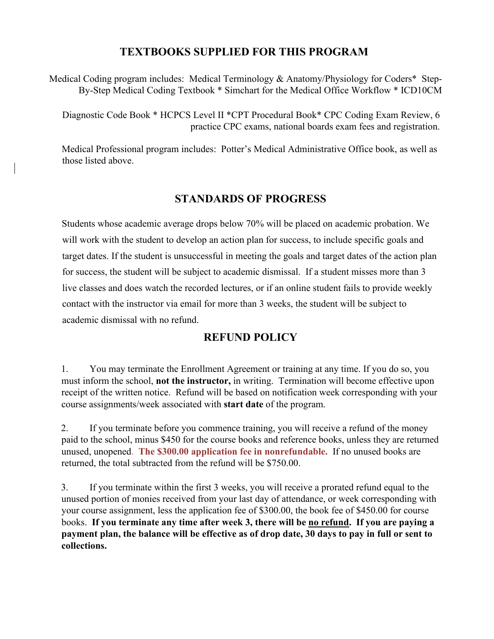### **TEXTBOOKS SUPPLIED FOR THIS PROGRAM**

Medical Coding program includes: Medical Terminology & Anatomy/Physiology for Coders\* Step-By-Step Medical Coding Textbook \* Simchart for the Medical Office Workflow \* ICD10CM

Diagnostic Code Book \* HCPCS Level II \*CPT Procedural Book\* CPC Coding Exam Review, 6 practice CPC exams, national boards exam fees and registration.

Medical Professional program includes: Potter's Medical Administrative Office book, as well as those listed above.

### **STANDARDS OF PROGRESS**

Students whose academic average drops below 70% will be placed on academic probation. We will work with the student to develop an action plan for success, to include specific goals and target dates. If the student is unsuccessful in meeting the goals and target dates of the action plan for success, the student will be subject to academic dismissal. If a student misses more than 3 live classes and does watch the recorded lectures, or if an online student fails to provide weekly contact with the instructor via email for more than 3 weeks, the student will be subject to academic dismissal with no refund.

### **REFUND POLICY**

1. You may terminate the Enrollment Agreement or training at any time. If you do so, you must inform the school, **not the instructor,** in writing. Termination will become effective upon receipt of the written notice. Refund will be based on notification week corresponding with your course assignments/week associated with **start date** of the program.

2. If you terminate before you commence training, you will receive a refund of the money paid to the school, minus \$450 for the course books and reference books, unless they are returned unused, unopened. **The \$300.00 application fee in nonrefundable.** If no unused books are returned, the total subtracted from the refund will be \$750.00.

3. If you terminate within the first 3 weeks, you will receive a prorated refund equal to the unused portion of monies received from your last day of attendance, or week corresponding with your course assignment, less the application fee of \$300.00, the book fee of \$450.00 for course books. **If you terminate any time after week 3, there will be no refund. If you are paying a payment plan, the balance will be effective as of drop date, 30 days to pay in full or sent to collections.**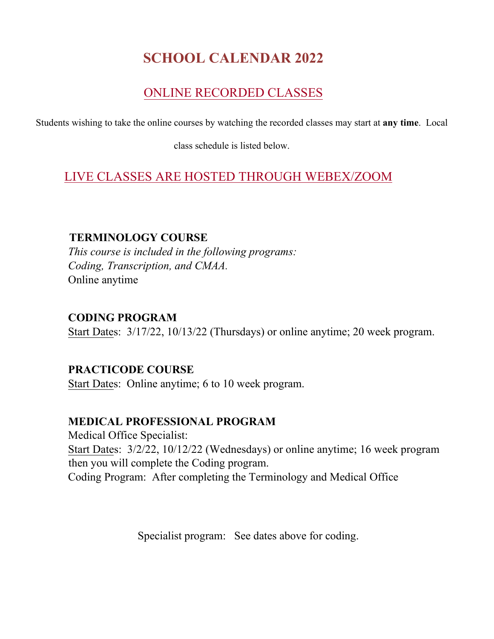# **SCHOOL CALENDAR 2022**

# ONLINE RECORDED CLASSES

Students wishing to take the online courses by watching the recorded classes may start at **any time**. Local

class schedule is listed below.

# LIVE CLASSES ARE HOSTED THROUGH WEBEX/ZOOM

### **TERMINOLOGY COURSE**

*This course is included in the following programs: Coding, Transcription, and CMAA.* Online anytime

#### **CODING PROGRAM**

Start Dates: 3/17/22, 10/13/22 (Thursdays) or online anytime; 20 week program.

# **PRACTICODE COURSE**

Start Dates: Online anytime; 6 to 10 week program.

### **MEDICAL PROFESSIONAL PROGRAM**

Medical Office Specialist: Start Dates: 3/2/22, 10/12/22 (Wednesdays) or online anytime; 16 week program then you will complete the Coding program. Coding Program: After completing the Terminology and Medical Office

Specialist program: See dates above for coding.